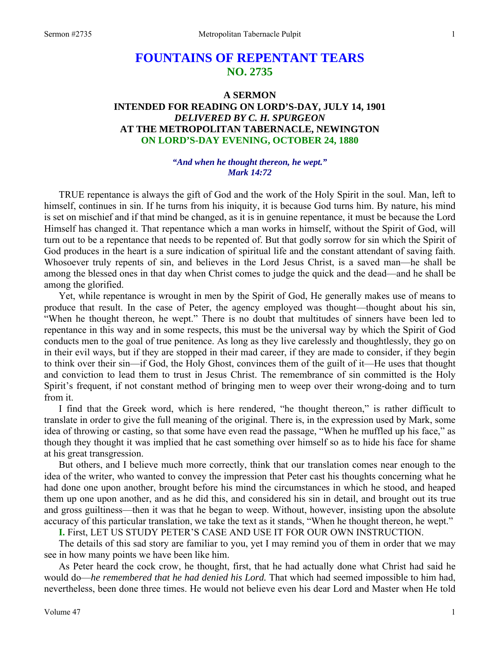# **FOUNTAINS OF REPENTANT TEARS NO. 2735**

## **A SERMON INTENDED FOR READING ON LORD'S-DAY, JULY 14, 1901**  *DELIVERED BY C. H. SPURGEON*  **AT THE METROPOLITAN TABERNACLE, NEWINGTON ON LORD'S-DAY EVENING, OCTOBER 24, 1880**

### *"And when he thought thereon, he wept." Mark 14:72*

TRUE repentance is always the gift of God and the work of the Holy Spirit in the soul. Man, left to himself, continues in sin. If he turns from his iniquity, it is because God turns him. By nature, his mind is set on mischief and if that mind be changed, as it is in genuine repentance, it must be because the Lord Himself has changed it. That repentance which a man works in himself, without the Spirit of God, will turn out to be a repentance that needs to be repented of. But that godly sorrow for sin which the Spirit of God produces in the heart is a sure indication of spiritual life and the constant attendant of saving faith. Whosoever truly repents of sin, and believes in the Lord Jesus Christ, is a saved man—he shall be among the blessed ones in that day when Christ comes to judge the quick and the dead—and he shall be among the glorified.

 Yet, while repentance is wrought in men by the Spirit of God, He generally makes use of means to produce that result. In the case of Peter, the agency employed was thought—thought about his sin, "When he thought thereon, he wept." There is no doubt that multitudes of sinners have been led to repentance in this way and in some respects, this must be the universal way by which the Spirit of God conducts men to the goal of true penitence. As long as they live carelessly and thoughtlessly, they go on in their evil ways, but if they are stopped in their mad career, if they are made to consider, if they begin to think over their sin—if God, the Holy Ghost, convinces them of the guilt of it—He uses that thought and conviction to lead them to trust in Jesus Christ. The remembrance of sin committed is the Holy Spirit's frequent, if not constant method of bringing men to weep over their wrong-doing and to turn from it.

 I find that the Greek word, which is here rendered, "he thought thereon," is rather difficult to translate in order to give the full meaning of the original. There is, in the expression used by Mark, some idea of throwing or casting, so that some have even read the passage, "When he muffled up his face," as though they thought it was implied that he cast something over himself so as to hide his face for shame at his great transgression.

 But others, and I believe much more correctly, think that our translation comes near enough to the idea of the writer, who wanted to convey the impression that Peter cast his thoughts concerning what he had done one upon another, brought before his mind the circumstances in which he stood, and heaped them up one upon another, and as he did this, and considered his sin in detail, and brought out its true and gross guiltiness—then it was that he began to weep. Without, however, insisting upon the absolute accuracy of this particular translation, we take the text as it stands, "When he thought thereon, he wept."

**I.** First, LET US STUDY PETER'S CASE AND USE IT FOR OUR OWN INSTRUCTION.

The details of this sad story are familiar to you, yet I may remind you of them in order that we may see in how many points we have been like him.

 As Peter heard the cock crow, he thought, first, that he had actually done what Christ had said he would do—*he remembered that he had denied his Lord.* That which had seemed impossible to him had, nevertheless, been done three times. He would not believe even his dear Lord and Master when He told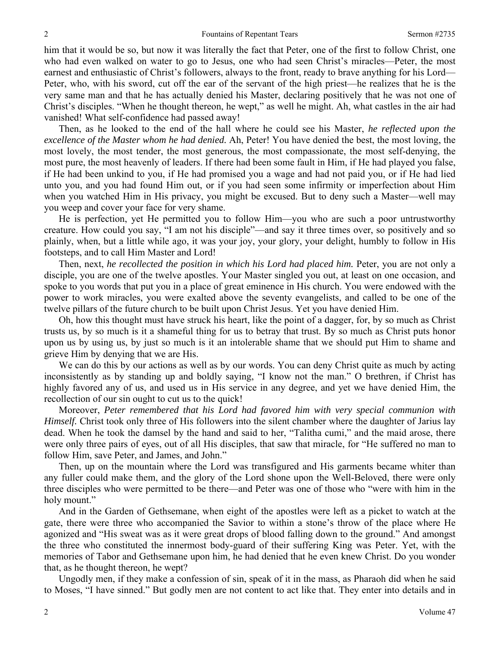him that it would be so, but now it was literally the fact that Peter, one of the first to follow Christ, one who had even walked on water to go to Jesus, one who had seen Christ's miracles—Peter, the most earnest and enthusiastic of Christ's followers, always to the front, ready to brave anything for his Lord— Peter, who, with his sword, cut off the ear of the servant of the high priest—he realizes that he is the very same man and that he has actually denied his Master, declaring positively that he was not one of Christ's disciples. "When he thought thereon, he wept," as well he might. Ah, what castles in the air had vanished! What self-confidence had passed away!

 Then, as he looked to the end of the hall where he could see his Master, *he reflected upon the excellence of the Master whom he had denied.* Ah, Peter! You have denied the best, the most loving, the most lovely, the most tender, the most generous, the most compassionate, the most self-denying, the most pure, the most heavenly of leaders. If there had been some fault in Him, if He had played you false, if He had been unkind to you, if He had promised you a wage and had not paid you, or if He had lied unto you, and you had found Him out, or if you had seen some infirmity or imperfection about Him when you watched Him in His privacy, you might be excused. But to deny such a Master—well may you weep and cover your face for very shame.

 He is perfection, yet He permitted you to follow Him—you who are such a poor untrustworthy creature. How could you say, "I am not his disciple"—and say it three times over, so positively and so plainly, when, but a little while ago, it was your joy, your glory, your delight, humbly to follow in His footsteps, and to call Him Master and Lord!

Then, next, *he recollected the position in which his Lord had placed him.* Peter, you are not only a disciple, you are one of the twelve apostles. Your Master singled you out, at least on one occasion, and spoke to you words that put you in a place of great eminence in His church. You were endowed with the power to work miracles, you were exalted above the seventy evangelists, and called to be one of the twelve pillars of the future church to be built upon Christ Jesus. Yet you have denied Him.

 Oh, how this thought must have struck his heart, like the point of a dagger, for, by so much as Christ trusts us, by so much is it a shameful thing for us to betray that trust. By so much as Christ puts honor upon us by using us, by just so much is it an intolerable shame that we should put Him to shame and grieve Him by denying that we are His.

We can do this by our actions as well as by our words. You can deny Christ quite as much by acting inconsistently as by standing up and boldly saying, "I know not the man." O brethren, if Christ has highly favored any of us, and used us in His service in any degree, and yet we have denied Him, the recollection of our sin ought to cut us to the quick!

 Moreover, *Peter remembered that his Lord had favored him with very special communion with Himself.* Christ took only three of His followers into the silent chamber where the daughter of Jarius lay dead. When he took the damsel by the hand and said to her, "Talitha cumi," and the maid arose, there were only three pairs of eyes, out of all His disciples, that saw that miracle, for "He suffered no man to follow Him, save Peter, and James, and John."

 Then, up on the mountain where the Lord was transfigured and His garments became whiter than any fuller could make them, and the glory of the Lord shone upon the Well-Beloved, there were only three disciples who were permitted to be there—and Peter was one of those who "were with him in the holy mount."

 And in the Garden of Gethsemane, when eight of the apostles were left as a picket to watch at the gate, there were three who accompanied the Savior to within a stone's throw of the place where He agonized and "His sweat was as it were great drops of blood falling down to the ground." And amongst the three who constituted the innermost body-guard of their suffering King was Peter. Yet, with the memories of Tabor and Gethsemane upon him, he had denied that he even knew Christ. Do you wonder that, as he thought thereon, he wept?

 Ungodly men, if they make a confession of sin, speak of it in the mass, as Pharaoh did when he said to Moses, "I have sinned." But godly men are not content to act like that. They enter into details and in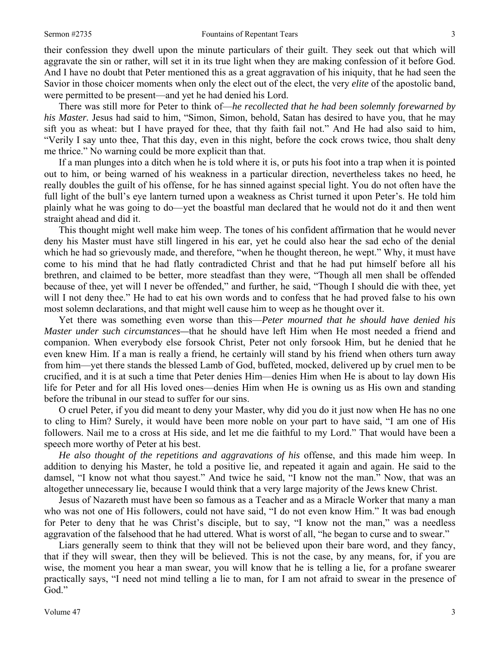their confession they dwell upon the minute particulars of their guilt. They seek out that which will aggravate the sin or rather, will set it in its true light when they are making confession of it before God. And I have no doubt that Peter mentioned this as a great aggravation of his iniquity, that he had seen the Savior in those choicer moments when only the elect out of the elect, the very *elite* of the apostolic band, were permitted to be present—and yet he had denied his Lord.

 There was still more for Peter to think of—*he recollected that he had been solemnly forewarned by his Master.* Jesus had said to him, "Simon, Simon, behold, Satan has desired to have you, that he may sift you as wheat: but I have prayed for thee, that thy faith fail not." And He had also said to him, "Verily I say unto thee, That this day, even in this night, before the cock crows twice, thou shalt deny me thrice." No warning could be more explicit than that.

 If a man plunges into a ditch when he is told where it is, or puts his foot into a trap when it is pointed out to him, or being warned of his weakness in a particular direction, nevertheless takes no heed, he really doubles the guilt of his offense, for he has sinned against special light. You do not often have the full light of the bull's eye lantern turned upon a weakness as Christ turned it upon Peter's. He told him plainly what he was going to do—yet the boastful man declared that he would not do it and then went straight ahead and did it.

 This thought might well make him weep. The tones of his confident affirmation that he would never deny his Master must have still lingered in his ear, yet he could also hear the sad echo of the denial which he had so grievously made, and therefore, "when he thought thereon, he wept." Why, it must have come to his mind that he had flatly contradicted Christ and that he had put himself before all his brethren, and claimed to be better, more steadfast than they were, "Though all men shall be offended because of thee, yet will I never be offended," and further, he said, "Though I should die with thee, yet will I not deny thee." He had to eat his own words and to confess that he had proved false to his own most solemn declarations, and that might well cause him to weep as he thought over it.

 Yet there was something even worse than this—*Peter mourned that he should have denied his Master under such circumstances—*that he should have left Him when He most needed a friend and companion. When everybody else forsook Christ, Peter not only forsook Him, but he denied that he even knew Him. If a man is really a friend, he certainly will stand by his friend when others turn away from him—yet there stands the blessed Lamb of God, buffeted, mocked, delivered up by cruel men to be crucified, and it is at such a time that Peter denies Him—denies Him when He is about to lay down His life for Peter and for all His loved ones—denies Him when He is owning us as His own and standing before the tribunal in our stead to suffer for our sins.

 O cruel Peter, if you did meant to deny your Master, why did you do it just now when He has no one to cling to Him? Surely, it would have been more noble on your part to have said, "I am one of His followers. Nail me to a cross at His side, and let me die faithful to my Lord." That would have been a speech more worthy of Peter at his best.

*He also thought of the repetitions and aggravations of his* offense, and this made him weep. In addition to denying his Master, he told a positive lie, and repeated it again and again. He said to the damsel, "I know not what thou sayest." And twice he said, "I know not the man." Now, that was an altogether unnecessary lie, because I would think that a very large majority of the Jews knew Christ.

 Jesus of Nazareth must have been so famous as a Teacher and as a Miracle Worker that many a man who was not one of His followers, could not have said, "I do not even know Him." It was bad enough for Peter to deny that he was Christ's disciple, but to say, "I know not the man," was a needless aggravation of the falsehood that he had uttered. What is worst of all, "he began to curse and to swear."

 Liars generally seem to think that they will not be believed upon their bare word, and they fancy, that if they will swear, then they will be believed. This is not the case, by any means, for, if you are wise, the moment you hear a man swear, you will know that he is telling a lie, for a profane swearer practically says, "I need not mind telling a lie to man, for I am not afraid to swear in the presence of God."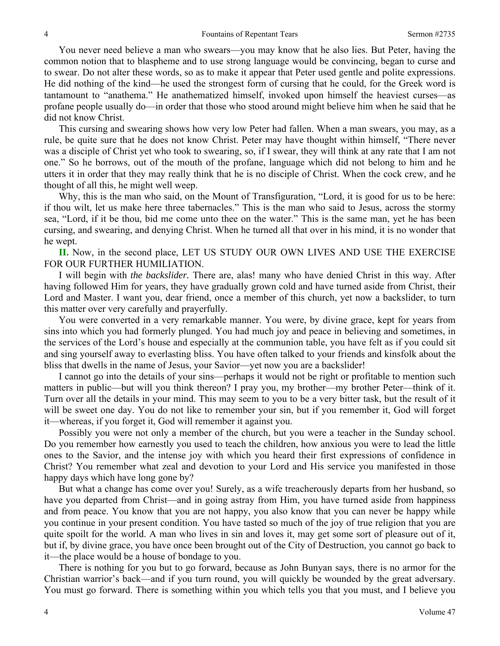You never need believe a man who swears—you may know that he also lies. But Peter, having the common notion that to blaspheme and to use strong language would be convincing, began to curse and to swear. Do not alter these words, so as to make it appear that Peter used gentle and polite expressions. He did nothing of the kind—he used the strongest form of cursing that he could, for the Greek word is tantamount to "anathema." He anathematized himself, invoked upon himself the heaviest curses—as profane people usually do—in order that those who stood around might believe him when he said that he did not know Christ.

 This cursing and swearing shows how very low Peter had fallen. When a man swears, you may, as a rule, be quite sure that he does not know Christ. Peter may have thought within himself, "There never was a disciple of Christ yet who took to swearing, so, if I swear, they will think at any rate that I am not one." So he borrows, out of the mouth of the profane, language which did not belong to him and he utters it in order that they may really think that he is no disciple of Christ. When the cock crew, and he thought of all this, he might well weep.

 Why, this is the man who said, on the Mount of Transfiguration, "Lord, it is good for us to be here: if thou wilt, let us make here three tabernacles." This is the man who said to Jesus, across the stormy sea, "Lord, if it be thou, bid me come unto thee on the water." This is the same man, yet he has been cursing, and swearing, and denying Christ. When he turned all that over in his mind, it is no wonder that he wept.

**II.** Now, in the second place, LET US STUDY OUR OWN LIVES AND USE THE EXERCISE FOR OUR FURTHER HUMILIATION.

 I will begin with *the backslider.* There are, alas! many who have denied Christ in this way. After having followed Him for years, they have gradually grown cold and have turned aside from Christ, their Lord and Master. I want you, dear friend, once a member of this church, yet now a backslider, to turn this matter over very carefully and prayerfully.

 You were converted in a very remarkable manner. You were, by divine grace, kept for years from sins into which you had formerly plunged. You had much joy and peace in believing and sometimes, in the services of the Lord's house and especially at the communion table, you have felt as if you could sit and sing yourself away to everlasting bliss. You have often talked to your friends and kinsfolk about the bliss that dwells in the name of Jesus, your Savior—yet now you are a backslider!

 I cannot go into the details of your sins—perhaps it would not be right or profitable to mention such matters in public—but will you think thereon? I pray you, my brother—my brother Peter—think of it. Turn over all the details in your mind. This may seem to you to be a very bitter task, but the result of it will be sweet one day. You do not like to remember your sin, but if you remember it, God will forget it—whereas, if you forget it, God will remember it against you.

 Possibly you were not only a member of the church, but you were a teacher in the Sunday school. Do you remember how earnestly you used to teach the children, how anxious you were to lead the little ones to the Savior, and the intense joy with which you heard their first expressions of confidence in Christ? You remember what zeal and devotion to your Lord and His service you manifested in those happy days which have long gone by?

 But what a change has come over you! Surely, as a wife treacherously departs from her husband, so have you departed from Christ—and in going astray from Him, you have turned aside from happiness and from peace. You know that you are not happy, you also know that you can never be happy while you continue in your present condition. You have tasted so much of the joy of true religion that you are quite spoilt for the world. A man who lives in sin and loves it, may get some sort of pleasure out of it, but if, by divine grace, you have once been brought out of the City of Destruction, you cannot go back to it—the place would be a house of bondage to you.

 There is nothing for you but to go forward, because as John Bunyan says, there is no armor for the Christian warrior's back—and if you turn round, you will quickly be wounded by the great adversary. You must go forward. There is something within you which tells you that you must, and I believe you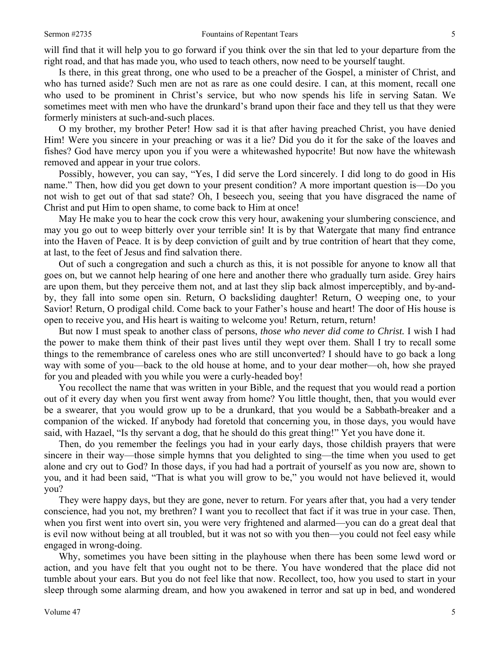will find that it will help you to go forward if you think over the sin that led to your departure from the right road, and that has made you, who used to teach others, now need to be yourself taught.

 Is there, in this great throng, one who used to be a preacher of the Gospel, a minister of Christ, and who has turned aside? Such men are not as rare as one could desire. I can, at this moment, recall one who used to be prominent in Christ's service, but who now spends his life in serving Satan. We sometimes meet with men who have the drunkard's brand upon their face and they tell us that they were formerly ministers at such-and-such places.

 O my brother, my brother Peter! How sad it is that after having preached Christ, you have denied Him! Were you sincere in your preaching or was it a lie? Did you do it for the sake of the loaves and fishes? God have mercy upon you if you were a whitewashed hypocrite! But now have the whitewash removed and appear in your true colors.

 Possibly, however, you can say, "Yes, I did serve the Lord sincerely. I did long to do good in His name." Then, how did you get down to your present condition? A more important question is—Do you not wish to get out of that sad state? Oh, I beseech you, seeing that you have disgraced the name of Christ and put Him to open shame, to come back to Him at once!

 May He make you to hear the cock crow this very hour, awakening your slumbering conscience, and may you go out to weep bitterly over your terrible sin! It is by that Watergate that many find entrance into the Haven of Peace. It is by deep conviction of guilt and by true contrition of heart that they come, at last, to the feet of Jesus and find salvation there.

 Out of such a congregation and such a church as this, it is not possible for anyone to know all that goes on, but we cannot help hearing of one here and another there who gradually turn aside. Grey hairs are upon them, but they perceive them not, and at last they slip back almost imperceptibly, and by-andby, they fall into some open sin. Return, O backsliding daughter! Return, O weeping one, to your Savior! Return, O prodigal child. Come back to your Father's house and heart! The door of His house is open to receive you, and His heart is waiting to welcome you! Return, return, return!

 But now I must speak to another class of persons, *those who never did come to Christ.* I wish I had the power to make them think of their past lives until they wept over them. Shall I try to recall some things to the remembrance of careless ones who are still unconverted? I should have to go back a long way with some of you—back to the old house at home, and to your dear mother—oh, how she prayed for you and pleaded with you while you were a curly-headed boy!

 You recollect the name that was written in your Bible, and the request that you would read a portion out of it every day when you first went away from home? You little thought, then, that you would ever be a swearer, that you would grow up to be a drunkard, that you would be a Sabbath-breaker and a companion of the wicked. If anybody had foretold that concerning you, in those days, you would have said, with Hazael, "Is thy servant a dog, that he should do this great thing!" Yet you have done it.

 Then, do you remember the feelings you had in your early days, those childish prayers that were sincere in their way—those simple hymns that you delighted to sing—the time when you used to get alone and cry out to God? In those days, if you had had a portrait of yourself as you now are, shown to you, and it had been said, "That is what you will grow to be," you would not have believed it, would you?

 They were happy days, but they are gone, never to return. For years after that, you had a very tender conscience, had you not, my brethren? I want you to recollect that fact if it was true in your case. Then, when you first went into overt sin, you were very frightened and alarmed—you can do a great deal that is evil now without being at all troubled, but it was not so with you then—you could not feel easy while engaged in wrong-doing.

 Why, sometimes you have been sitting in the playhouse when there has been some lewd word or action, and you have felt that you ought not to be there. You have wondered that the place did not tumble about your ears. But you do not feel like that now. Recollect, too, how you used to start in your sleep through some alarming dream, and how you awakened in terror and sat up in bed, and wondered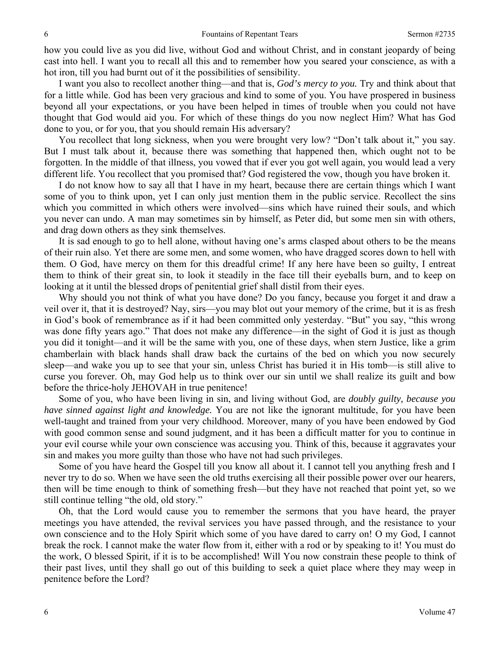how you could live as you did live, without God and without Christ, and in constant jeopardy of being cast into hell. I want you to recall all this and to remember how you seared your conscience, as with a hot iron, till you had burnt out of it the possibilities of sensibility.

 I want you also to recollect another thing—and that is, *God's mercy to you.* Try and think about that for a little while. God has been very gracious and kind to some of you. You have prospered in business beyond all your expectations, or you have been helped in times of trouble when you could not have thought that God would aid you. For which of these things do you now neglect Him? What has God done to you, or for you, that you should remain His adversary?

You recollect that long sickness, when you were brought very low? "Don't talk about it," you say. But I must talk about it, because there was something that happened then, which ought not to be forgotten. In the middle of that illness, you vowed that if ever you got well again, you would lead a very different life. You recollect that you promised that? God registered the vow, though you have broken it.

 I do not know how to say all that I have in my heart, because there are certain things which I want some of you to think upon, yet I can only just mention them in the public service. Recollect the sins which you committed in which others were involved—sins which have ruined their souls, and which you never can undo. A man may sometimes sin by himself, as Peter did, but some men sin with others, and drag down others as they sink themselves.

 It is sad enough to go to hell alone, without having one's arms clasped about others to be the means of their ruin also. Yet there are some men, and some women, who have dragged scores down to hell with them. O God, have mercy on them for this dreadful crime! If any here have been so guilty, I entreat them to think of their great sin, to look it steadily in the face till their eyeballs burn, and to keep on looking at it until the blessed drops of penitential grief shall distil from their eyes.

 Why should you not think of what you have done? Do you fancy, because you forget it and draw a veil over it, that it is destroyed? Nay, sirs—you may blot out your memory of the crime, but it is as fresh in God's book of remembrance as if it had been committed only yesterday. "But" you say, "this wrong was done fifty years ago." That does not make any difference—in the sight of God it is just as though you did it tonight—and it will be the same with you, one of these days, when stern Justice, like a grim chamberlain with black hands shall draw back the curtains of the bed on which you now securely sleep—and wake you up to see that your sin, unless Christ has buried it in His tomb—is still alive to curse you forever. Oh, may God help us to think over our sin until we shall realize its guilt and bow before the thrice-holy JEHOVAH in true penitence!

 Some of you, who have been living in sin, and living without God, are *doubly guilty, because you have sinned against light and knowledge.* You are not like the ignorant multitude, for you have been well-taught and trained from your very childhood. Moreover, many of you have been endowed by God with good common sense and sound judgment, and it has been a difficult matter for you to continue in your evil course while your own conscience was accusing you. Think of this, because it aggravates your sin and makes you more guilty than those who have not had such privileges.

 Some of you have heard the Gospel till you know all about it. I cannot tell you anything fresh and I never try to do so. When we have seen the old truths exercising all their possible power over our hearers, then will be time enough to think of something fresh—but they have not reached that point yet, so we still continue telling "the old, old story."

 Oh, that the Lord would cause you to remember the sermons that you have heard, the prayer meetings you have attended, the revival services you have passed through, and the resistance to your own conscience and to the Holy Spirit which some of you have dared to carry on! O my God, I cannot break the rock. I cannot make the water flow from it, either with a rod or by speaking to it! You must do the work, O blessed Spirit, if it is to be accomplished! Will You now constrain these people to think of their past lives, until they shall go out of this building to seek a quiet place where they may weep in penitence before the Lord?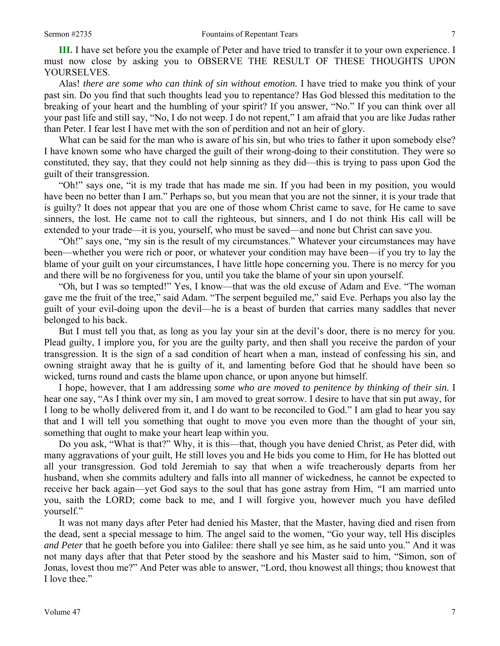**III.** I have set before you the example of Peter and have tried to transfer it to your own experience. I must now close by asking you to OBSERVE THE RESULT OF THESE THOUGHTS UPON YOURSELVES.

 Alas! *there are some who can think of sin without emotion.* I have tried to make you think of your past sin. Do you find that such thoughts lead you to repentance? Has God blessed this meditation to the breaking of your heart and the humbling of your spirit? If you answer, "No." If you can think over all your past life and still say, "No, I do not weep. I do not repent," I am afraid that you are like Judas rather than Peter. I fear lest I have met with the son of perdition and not an heir of glory.

What can be said for the man who is aware of his sin, but who tries to father it upon somebody else? I have known some who have charged the guilt of their wrong-doing to their constitution. They were so constituted, they say, that they could not help sinning as they did—this is trying to pass upon God the guilt of their transgression.

 "Oh!" says one, "it is my trade that has made me sin. If you had been in my position, you would have been no better than I am." Perhaps so, but you mean that you are not the sinner, it is your trade that is guilty? It does not appear that you are one of those whom Christ came to save, for He came to save sinners, the lost. He came not to call the righteous, but sinners, and I do not think His call will be extended to your trade—it is you, yourself, who must be saved—and none but Christ can save you.

 "Oh!" says one, "my sin is the result of my circumstances." Whatever your circumstances may have been—whether you were rich or poor, or whatever your condition may have been—if you try to lay the blame of your guilt on your circumstances, I have little hope concerning you. There is no mercy for you and there will be no forgiveness for you, until you take the blame of your sin upon yourself.

 "Oh*,* but I was so tempted!" Yes, I know—that was the old excuse of Adam and Eve. "The woman gave me the fruit of the tree," said Adam. "The serpent beguiled me," said Eve. Perhaps you also lay the guilt of your evil-doing upon the devil—he is a beast of burden that carries many saddles that never belonged to his back.

 But I must tell you that, as long as you lay your sin at the devil's door, there is no mercy for you. Plead guilty, I implore you, for you are the guilty party, and then shall you receive the pardon of your transgression. It is the sign of a sad condition of heart when a man, instead of confessing his sin, and owning straight away that he is guilty of it, and lamenting before God that he should have been so wicked, turns round and casts the blame upon chance, or upon anyone but himself.

 I hope, however, that I am addressing *some who are moved to penitence by thinking of their sin*. I hear one say, "As I think over my sin, I am moved to great sorrow. I desire to have that sin put away, for I long to be wholly delivered from it, and I do want to be reconciled to God." I am glad to hear you say that and I will tell you something that ought to move you even more than the thought of your sin, something that ought to make your heart leap within you.

 Do you ask, "What is that?" Why, it is this—that, though you have denied Christ, as Peter did, with many aggravations of your guilt, He still loves you and He bids you come to Him, for He has blotted out all your transgression. God told Jeremiah to say that when a wife treacherously departs from her husband, when she commits adultery and falls into all manner of wickedness, he cannot be expected to receive her back again—yet God says to the soul that has gone astray from Him, *"*I am married unto you, saith the LORD; come back to me, and I will forgive you, however much you have defiled yourself."

 It was not many days after Peter had denied his Master, that the Master, having died and risen from the dead, sent a special message to him. The angel said to the women, "Go your way, tell His disciples *and Peter* that he goeth before you into Galilee: there shall ye see him, as he said unto you." And it was not many days after that that Peter stood by the seashore and his Master said to him, "Simon, son of Jonas, lovest thou me?" And Peter was able to answer, "Lord, thou knowest all things; thou knowest that I love thee."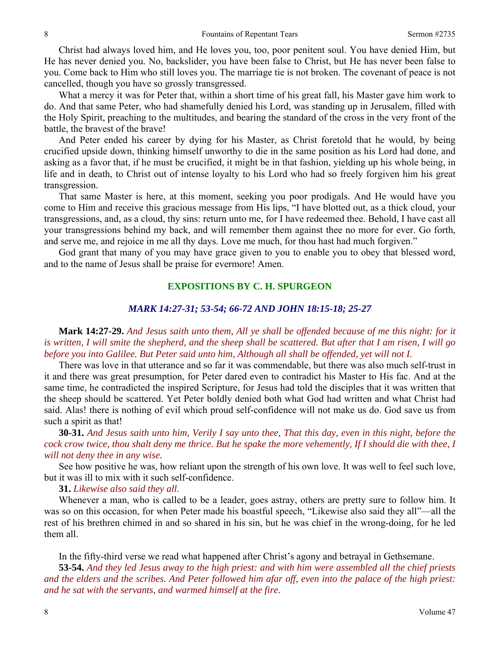Christ had always loved him, and He loves you, too, poor penitent soul. You have denied Him, but He has never denied you. No, backslider, you have been false to Christ, but He has never been false to you. Come back to Him who still loves you. The marriage tie is not broken. The covenant of peace is not cancelled, though you have so grossly transgressed.

 What a mercy it was for Peter that, within a short time of his great fall, his Master gave him work to do. And that same Peter, who had shamefully denied his Lord, was standing up in Jerusalem, filled with the Holy Spirit, preaching to the multitudes, and bearing the standard of the cross in the very front of the battle, the bravest of the brave!

 And Peter ended his career by dying for his Master, as Christ foretold that he would, by being crucified upside down, thinking himself unworthy to die in the same position as his Lord had done, and asking as a favor that, if he must be crucified, it might be in that fashion, yielding up his whole being, in life and in death, to Christ out of intense loyalty to his Lord who had so freely forgiven him his great transgression.

 That same Master is here, at this moment, seeking you poor prodigals. And He would have you come to Him and receive this gracious message from His lips, "I have blotted out, as a thick cloud, your transgressions, and, as a cloud, thy sins: return unto me, for I have redeemed thee. Behold, I have cast all your transgressions behind my back, and will remember them against thee no more for ever. Go forth, and serve me, and rejoice in me all thy days. Love me much, for thou hast had much forgiven."

 God grant that many of you may have grace given to you to enable you to obey that blessed word, and to the name of Jesus shall be praise for evermore! Amen.

#### **EXPOSITIONS BY C. H. SPURGEON**

#### *MARK 14:27-31; 53-54; 66-72 AND JOHN 18:15-18; 25-27*

**Mark 14:27-29.** *And Jesus saith unto them, All ye shall be offended because of me this night: for it is written, I will smite the shepherd, and the sheep shall be scattered. But after that I am risen, I will go before you into Galilee. But Peter said unto him, Although all shall be offended, yet will not I.*

There was love in that utterance and so far it was commendable, but there was also much self-trust in it and there was great presumption, for Peter dared even to contradict his Master to His fac. And at the same time, he contradicted the inspired Scripture, for Jesus had told the disciples that it was written that the sheep should be scattered. Yet Peter boldly denied both what God had written and what Christ had said. Alas! there is nothing of evil which proud self-confidence will not make us do. God save us from such a spirit as that!

**30-31.** *And Jesus saith unto him, Verily I say unto thee, That this day, even in this night, before the cock crow twice, thou shalt deny me thrice. But he spake the more vehemently, If I should die with thee, I will not deny thee in any wise.* 

 See how positive he was, how reliant upon the strength of his own love. It was well to feel such love, but it was ill to mix with it such self-confidence.

**31.** *Likewise also said they all.* 

 Whenever a man, who is called to be a leader, goes astray, others are pretty sure to follow him. It was so on this occasion, for when Peter made his boastful speech, "Likewise also said they all"—all the rest of his brethren chimed in and so shared in his sin, but he was chief in the wrong-doing, for he led them all.

In the fifty-third verse we read what happened after Christ's agony and betrayal in Gethsemane.

**53-54.** *And they led Jesus away to the high priest: and with him were assembled all the chief priests and the elders and the scribes. And Peter followed him afar off, even into the palace of the high priest: and he sat with the servants, and warmed himself at the fire.*